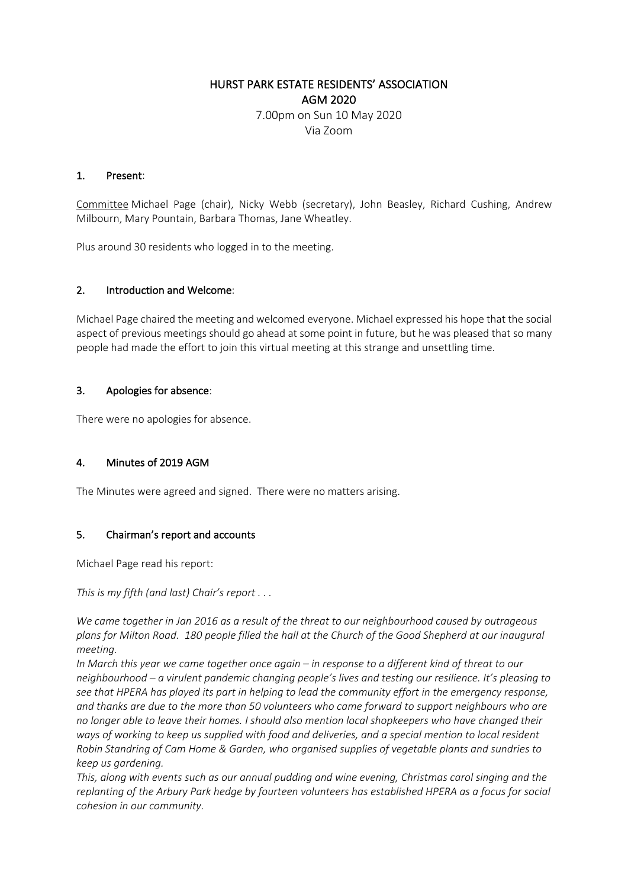# HURST PARK ESTATE RESIDENTS' ASSOCIATION AGM 2020 7.00pm on Sun 10 May 2020 Via Zoom

### 1. Present:

Committee Michael Page (chair), Nicky Webb (secretary), John Beasley, Richard Cushing, Andrew Milbourn, Mary Pountain, Barbara Thomas, Jane Wheatley.

Plus around 30 residents who logged in to the meeting.

### 2. Introduction and Welcome:

Michael Page chaired the meeting and welcomed everyone. Michael expressed his hope that the social aspect of previous meetings should go ahead at some point in future, but he was pleased that so many people had made the effort to join this virtual meeting at this strange and unsettling time.

### 3. Apologies for absence:

There were no apologies for absence.

## 4. Minutes of 2019 AGM

The Minutes were agreed and signed. There were no matters arising.

## 5. Chairman's report and accounts

Michael Page read his report:

*This is my fifth (and last) Chair's report . . .*

*We came together in Jan 2016 as a result of the threat to our neighbourhood caused by outrageous plans for Milton Road. 180 people filled the hall at the Church of the Good Shepherd at our inaugural meeting.*

*In March this year we came together once again – in response to a different kind of threat to our neighbourhood – a virulent pandemic changing people's lives and testing our resilience. It's pleasing to see that HPERA has played its part in helping to lead the community effort in the emergency response, and thanks are due to the more than 50 volunteers who came forward to support neighbours who are no longer able to leave their homes. I should also mention local shopkeepers who have changed their ways of working to keep us supplied with food and deliveries, and a special mention to local resident Robin Standring of Cam Home & Garden, who organised supplies of vegetable plants and sundries to keep us gardening.*

*This, along with events such as our annual pudding and wine evening, Christmas carol singing and the replanting of the Arbury Park hedge by fourteen volunteers has established HPERA as a focus for social cohesion in our community.*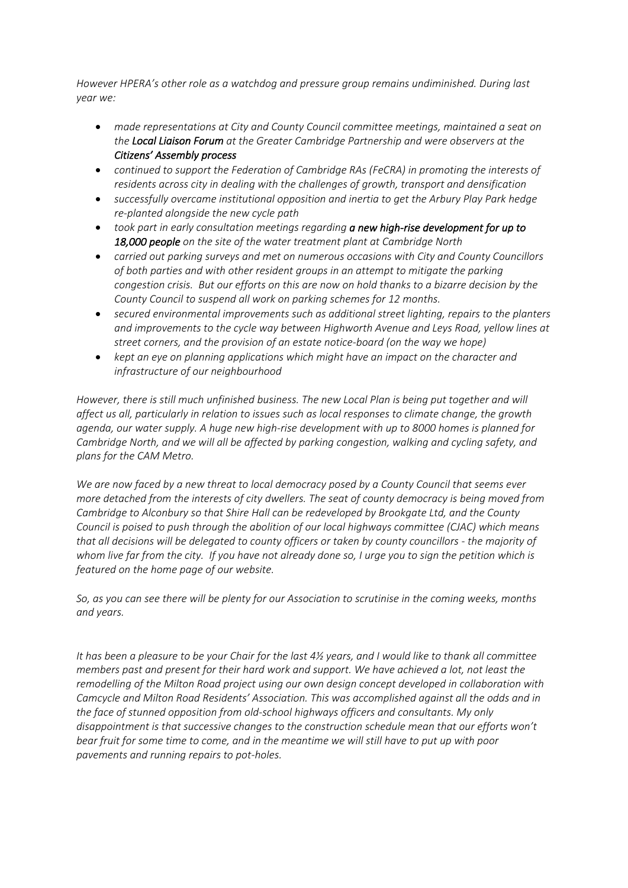*However HPERA's other role as a watchdog and pressure group remains undiminished. During last year we:*

- *made representations at City and County Council committee meetings, maintained a seat on the Local Liaison Forum at the Greater Cambridge Partnership and were observers at the Citizens' Assembly process*
- *continued to support the Federation of Cambridge RAs (FeCRA) in promoting the interests of residents across city in dealing with the challenges of growth, transport and densification*
- *successfully overcame institutional opposition and inertia to get the Arbury Play Park hedge re-planted alongside the new cycle path*
- *took part in early consultation meetings regarding a new high-rise development for up to 18,000 people on the site of the water treatment plant at Cambridge North*
- *carried out parking surveys and met on numerous occasions with City and County Councillors of both parties and with other resident groups in an attempt to mitigate the parking congestion crisis. But our efforts on this are now on hold thanks to a bizarre decision by the County Council to suspend all work on parking schemes for 12 months.*
- *secured environmental improvements such as additional street lighting, repairs to the planters and improvements to the cycle way between Highworth Avenue and Leys Road, yellow lines at street corners, and the provision of an estate notice-board (on the way we hope)*
- *kept an eye on planning applications which might have an impact on the character and infrastructure of our neighbourhood*

*However, there is still much unfinished business. The new Local Plan is being put together and will affect us all, particularly in relation to issues such as local responses to climate change, the growth agenda, our water supply. A huge new high-rise development with up to 8000 homes is planned for Cambridge North, and we will all be affected by parking congestion, walking and cycling safety, and plans for the CAM Metro.* 

*We are now faced by a new threat to local democracy posed by a County Council that seems ever more detached from the interests of city dwellers. The seat of county democracy is being moved from Cambridge to Alconbury so that Shire Hall can be redeveloped by Brookgate Ltd, and the County Council is poised to push through the abolition of our local highways committee (CJAC) which means that all decisions will be delegated to county officers or taken by county councillors - the majority of whom live far from the city. If you have not already done so, I urge you to sign the petition which is featured on the home page of our website.*

*So, as you can see there will be plenty for our Association to scrutinise in the coming weeks, months and years.*

*It has been a pleasure to be your Chair for the last 4½ years, and I would like to thank all committee members past and present for their hard work and support. We have achieved a lot, not least the remodelling of the Milton Road project using our own design concept developed in collaboration with Camcycle and Milton Road Residents' Association. This was accomplished against all the odds and in the face of stunned opposition from old-school highways officers and consultants. My only disappointment is that successive changes to the construction schedule mean that our efforts won't bear fruit for some time to come, and in the meantime we will still have to put up with poor pavements and running repairs to pot-holes.*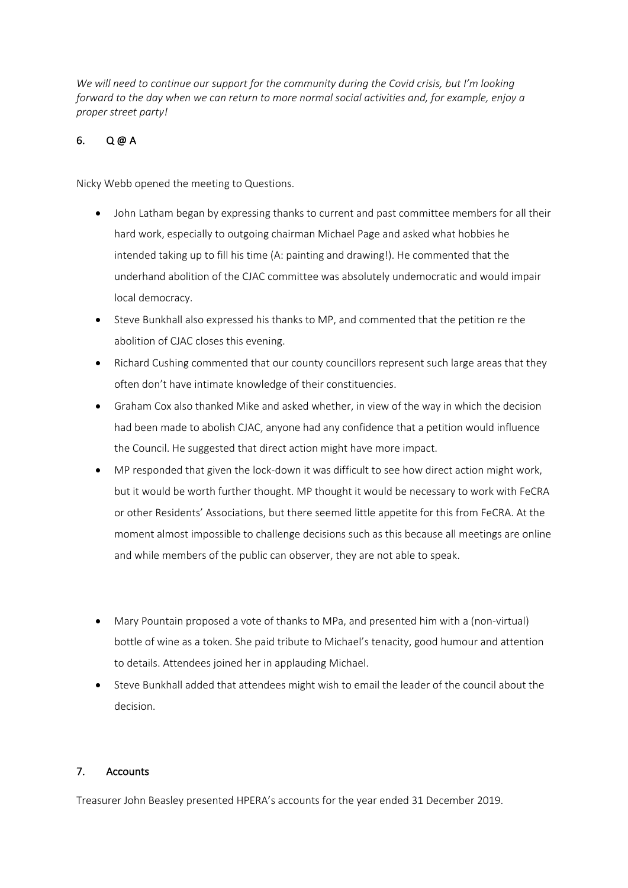*We will need to continue our support for the community during the Covid crisis, but I'm looking forward to the day when we can return to more normal social activities and, for example, enjoy a proper street party!*

## 6. Q @ A

Nicky Webb opened the meeting to Questions.

- John Latham began by expressing thanks to current and past committee members for all their hard work, especially to outgoing chairman Michael Page and asked what hobbies he intended taking up to fill his time (A: painting and drawing!). He commented that the underhand abolition of the CJAC committee was absolutely undemocratic and would impair local democracy.
- Steve Bunkhall also expressed his thanks to MP, and commented that the petition re the abolition of CJAC closes this evening.
- Richard Cushing commented that our county councillors represent such large areas that they often don't have intimate knowledge of their constituencies.
- Graham Cox also thanked Mike and asked whether, in view of the way in which the decision had been made to abolish CJAC, anyone had any confidence that a petition would influence the Council. He suggested that direct action might have more impact.
- MP responded that given the lock-down it was difficult to see how direct action might work, but it would be worth further thought. MP thought it would be necessary to work with FeCRA or other Residents' Associations, but there seemed little appetite for this from FeCRA. At the moment almost impossible to challenge decisions such as this because all meetings are online and while members of the public can observer, they are not able to speak.
- Mary Pountain proposed a vote of thanks to MPa, and presented him with a (non-virtual) bottle of wine as a token. She paid tribute to Michael's tenacity, good humour and attention to details. Attendees joined her in applauding Michael.
- Steve Bunkhall added that attendees might wish to email the leader of the council about the decision.

## 7. Accounts

Treasurer John Beasley presented HPERA's accounts for the year ended 31 December 2019.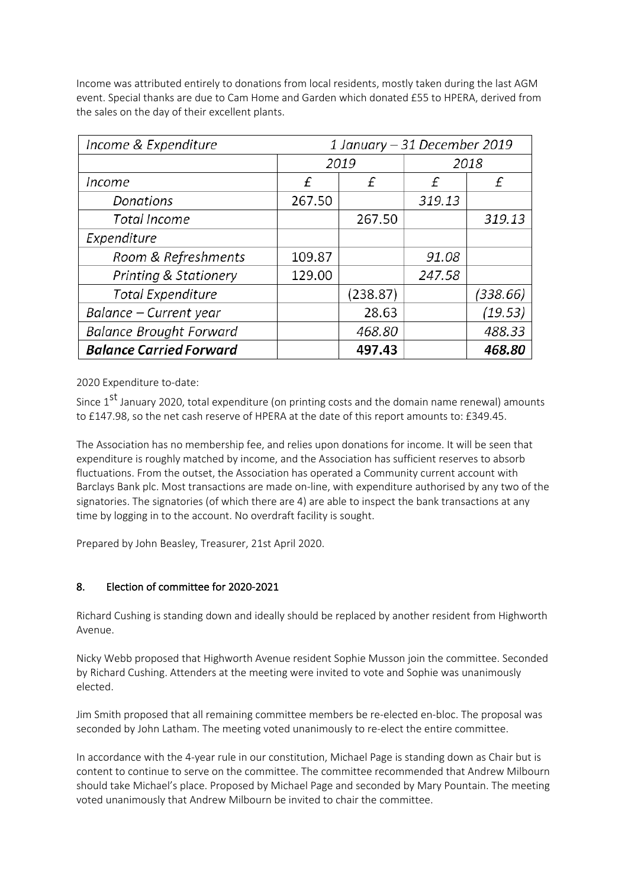Income was attributed entirely to donations from local residents, mostly taken during the last AGM event. Special thanks are due to Cam Home and Garden which donated £55 to HPERA, derived from the sales on the day of their excellent plants.

| Income & Expenditure             | 1 January – 31 December 2019 |          |        |          |
|----------------------------------|------------------------------|----------|--------|----------|
|                                  | 2019                         |          | 2018   |          |
| Income                           | £                            | £        | £      | f        |
| Donations                        | 267.50                       |          | 319.13 |          |
| Total Income                     |                              | 267.50   |        | 319.13   |
| Expenditure                      |                              |          |        |          |
| Room & Refreshments              | 109.87                       |          | 91.08  |          |
| <b>Printing &amp; Stationery</b> | 129.00                       |          | 247.58 |          |
| <b>Total Expenditure</b>         |                              | (238.87) |        | (338.66) |
| Balance – Current year           |                              | 28.63    |        | (19.53)  |
| <b>Balance Brought Forward</b>   |                              | 468.80   |        | 488.33   |
| <b>Balance Carried Forward</b>   |                              | 497.43   |        | 468.80   |

2020 Expenditure to-date:

Since 1<sup>st</sup> January 2020, total expenditure (on printing costs and the domain name renewal) amounts to £147.98, so the net cash reserve of HPERA at the date of this report amounts to: £349.45.

The Association has no membership fee, and relies upon donations for income. It will be seen that expenditure is roughly matched by income, and the Association has sufficient reserves to absorb fluctuations. From the outset, the Association has operated a Community current account with Barclays Bank plc. Most transactions are made on-line, with expenditure authorised by any two of the signatories. The signatories (of which there are 4) are able to inspect the bank transactions at any time by logging in to the account. No overdraft facility is sought.

Prepared by John Beasley, Treasurer, 21st April 2020.

## 8. Election of committee for 2020-2021

Richard Cushing is standing down and ideally should be replaced by another resident from Highworth Avenue.

Nicky Webb proposed that Highworth Avenue resident Sophie Musson join the committee. Seconded by Richard Cushing. Attenders at the meeting were invited to vote and Sophie was unanimously elected.

Jim Smith proposed that all remaining committee members be re-elected en-bloc. The proposal was seconded by John Latham. The meeting voted unanimously to re-elect the entire committee.

In accordance with the 4-year rule in our constitution, Michael Page is standing down as Chair but is content to continue to serve on the committee. The committee recommended that Andrew Milbourn should take Michael's place. Proposed by Michael Page and seconded by Mary Pountain. The meeting voted unanimously that Andrew Milbourn be invited to chair the committee.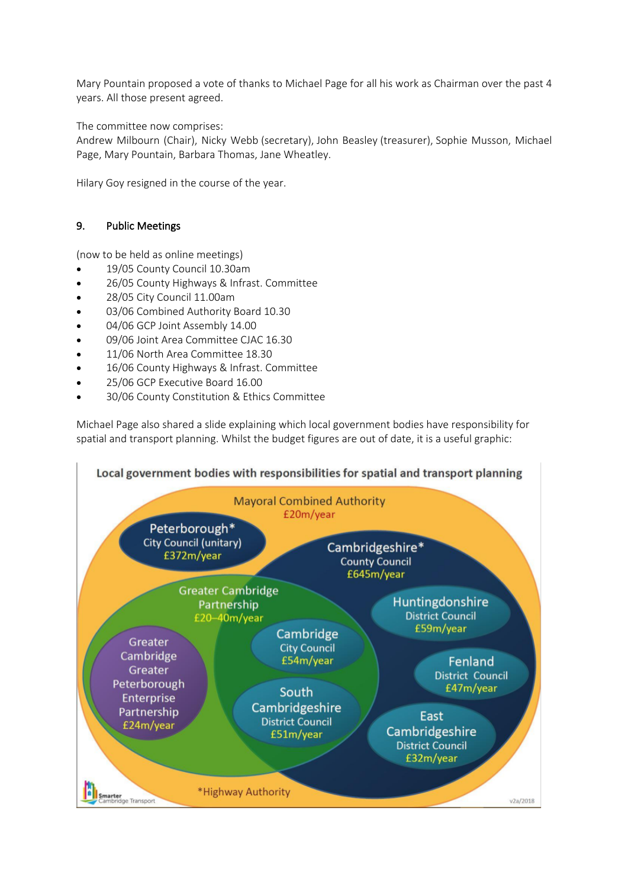Mary Pountain proposed a vote of thanks to Michael Page for all his work as Chairman over the past 4 years. All those present agreed.

The committee now comprises:

Andrew Milbourn (Chair), Nicky Webb (secretary), John Beasley (treasurer), Sophie Musson, Michael Page, Mary Pountain, Barbara Thomas, Jane Wheatley.

Hilary Goy resigned in the course of the year.

## 9. Public Meetings

(now to be held as online meetings)

- 19/05 County Council 10.30am
- 26/05 County Highways & Infrast. Committee
- 28/05 City Council 11.00am
- 03/06 Combined Authority Board 10.30
- 04/06 GCP Joint Assembly 14.00
- 09/06 Joint Area Committee CJAC 16.30
- 11/06 North Area Committee 18.30
- 16/06 County Highways & Infrast. Committee
- 25/06 GCP Executive Board 16.00
- 30/06 County Constitution & Ethics Committee

Michael Page also shared a slide explaining which local government bodies have responsibility for spatial and transport planning. Whilst the budget figures are out of date, it is a useful graphic: